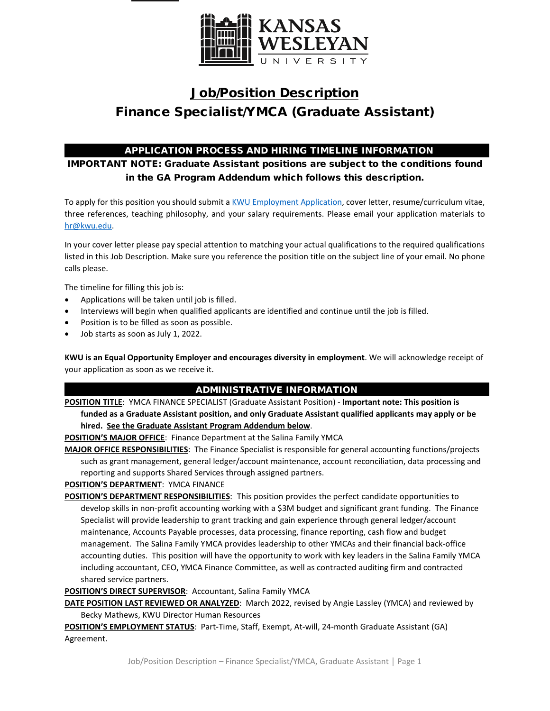

# Job/Position Description Finance Specialist/YMCA (Graduate Assistant)

# APPLICATION PROCESS AND HIRING TIMELINE INFORMATION

IMPORTANT NOTE: Graduate Assistant positions are subject to the conditions found in the GA Program Addendum which follows this description.

To apply for this position you should submit [a KWU Employment Application,](https://www.kwu.edu/wp-content/uploads/Employment-Application-Form-ELECTRONIC-Revised-3-.pdf) cover letter, resume/curriculum vitae, three references, teaching philosophy, and your salary requirements. Please email your application materials to [hr@kwu.edu.](mailto:hr@kwu.edu)

In your cover letter please pay special attention to matching your actual qualifications to the required qualifications listed in this Job Description. Make sure you reference the position title on the subject line of your email. No phone calls please.

The timeline for filling this job is:

- Applications will be taken until job is filled.
- Interviews will begin when qualified applicants are identified and continue until the job is filled.
- Position is to be filled as soon as possible.
- Job starts as soon as July 1, 2022.

**KWU is an Equal Opportunity Employer and encourages diversity in employment**. We will acknowledge receipt of your application as soon as we receive it.

# ADMINISTRATIVE INFORMATION

**POSITION TITLE**: YMCA FINANCE SPECIALIST (Graduate Assistant Position) - **Important note: This position is funded as a Graduate Assistant position, and only Graduate Assistant qualified applicants may apply or be** 

## **hired. See the Graduate Assistant Program Addendum below**.

**POSITION'S MAJOR OFFICE:** Finance Department at the Salina Family YMCA

**MAJOR OFFICE RESPONSIBILITIES**: The Finance Specialist is responsible for general accounting functions/projects such as grant management, general ledger/account maintenance, account reconciliation, data processing and reporting and supports Shared Services through assigned partners.

## **POSITION'S DEPARTMENT**: YMCA FINANCE

**POSITION'S DEPARTMENT RESPONSIBILITIES**: This position provides the perfect candidate opportunities to develop skills in non-profit accounting working with a \$3M budget and significant grant funding. The Finance Specialist will provide leadership to grant tracking and gain experience through general ledger/account maintenance, Accounts Payable processes, data processing, finance reporting, cash flow and budget management. The Salina Family YMCA provides leadership to other YMCAs and their financial back-office accounting duties. This position will have the opportunity to work with key leaders in the Salina Family YMCA including accountant, CEO, YMCA Finance Committee, as well as contracted auditing firm and contracted shared service partners.

**POSITION'S DIRECT SUPERVISOR**: Accountant, Salina Family YMCA

**DATE POSITION LAST REVIEWED OR ANALYZED**: March 2022, revised by Angie Lassley (YMCA) and reviewed by Becky Mathews, KWU Director Human Resources

**POSITION'S EMPLOYMENT STATUS**: Part-Time, Staff, Exempt, At-will, 24-month Graduate Assistant (GA) Agreement.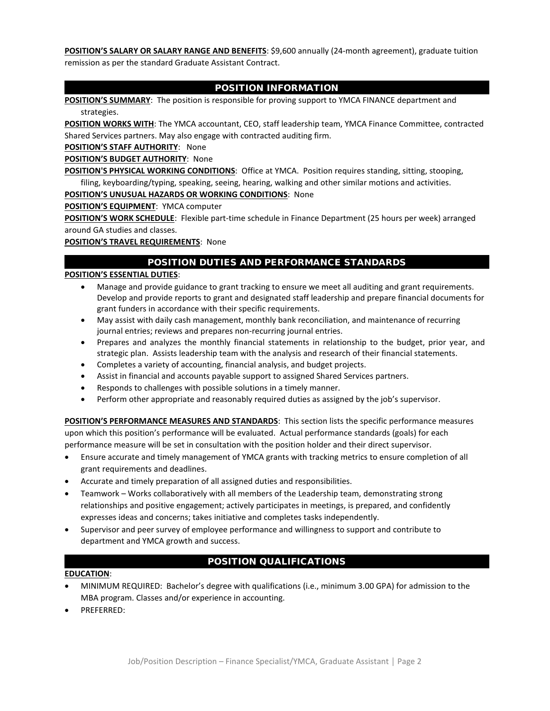**POSITION'S SALARY OR SALARY RANGE AND BENEFITS**: \$9,600 annually (24-month agreement), graduate tuition remission as per the standard Graduate Assistant Contract.

### POSITION INFORMATION

**POSITION'S SUMMARY**: The position is responsible for proving support to YMCA FINANCE department and strategies.

**POSITION WORKS WITH**: The YMCA accountant, CEO, staff leadership team, YMCA Finance Committee, contracted Shared Services partners. May also engage with contracted auditing firm.

**POSITION'S STAFF AUTHORITY**: None

**POSITION'S BUDGET AUTHORITY**: None

**POSITION'S PHYSICAL WORKING CONDITIONS**: Office at YMCA. Position requires standing, sitting, stooping, filing, keyboarding/typing, speaking, seeing, hearing, walking and other similar motions and activities.

#### **POSITION'S UNUSUAL HAZARDS OR WORKING CONDITIONS**: None

**POSITION'S EQUIPMENT**: YMCA computer

**POSITION'S WORK SCHEDULE**: Flexible part-time schedule in Finance Department (25 hours per week) arranged around GA studies and classes.

**POSITION'S TRAVEL REQUIREMENTS**: None

## POSITION DUTIES AND PERFORMANCE STANDARDS

#### **POSITION'S ESSENTIAL DUTIES**:

- Manage and provide guidance to grant tracking to ensure we meet all auditing and grant requirements. Develop and provide reports to grant and designated staff leadership and prepare financial documents for grant funders in accordance with their specific requirements.
- May assist with daily cash management, monthly bank reconciliation, and maintenance of recurring journal entries; reviews and prepares non-recurring journal entries.
- Prepares and analyzes the monthly financial statements in relationship to the budget, prior year, and strategic plan. Assists leadership team with the analysis and research of their financial statements.
- Completes a variety of accounting, financial analysis, and budget projects.
- Assist in financial and accounts payable support to assigned Shared Services partners.
- Responds to challenges with possible solutions in a timely manner.
- Perform other appropriate and reasonably required duties as assigned by the job's supervisor.

**POSITION'S PERFORMANCE MEASURES AND STANDARDS**: This section lists the specific performance measures upon which this position's performance will be evaluated. Actual performance standards (goals) for each performance measure will be set in consultation with the position holder and their direct supervisor.

- Ensure accurate and timely management of YMCA grants with tracking metrics to ensure completion of all grant requirements and deadlines.
- Accurate and timely preparation of all assigned duties and responsibilities.
- Teamwork Works collaboratively with all members of the Leadership team, demonstrating strong relationships and positive engagement; actively participates in meetings, is prepared, and confidently expresses ideas and concerns; takes initiative and completes tasks independently.
- Supervisor and peer survey of employee performance and willingness to support and contribute to department and YMCA growth and success.

# POSITION QUALIFICATIONS

#### **EDUCATION**:

- MINIMUM REQUIRED: Bachelor's degree with qualifications (i.e., minimum 3.00 GPA) for admission to the MBA program. Classes and/or experience in accounting.
- PREFERRED: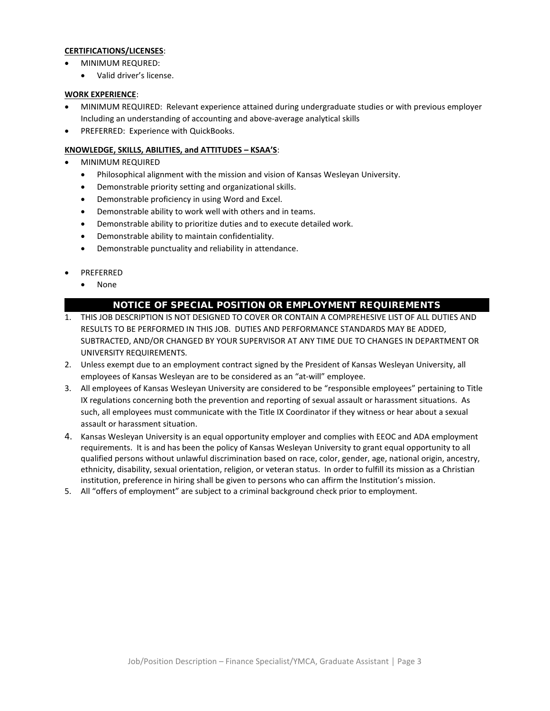#### **CERTIFICATIONS/LICENSES**:

- MINIMUM REQURED:
	- Valid driver's license.

#### **WORK EXPERIENCE**:

- MINIMUM REQUIRED: Relevant experience attained during undergraduate studies or with previous employer Including an understanding of accounting and above-average analytical skills
- PREFERRED: Experience with QuickBooks.

#### **KNOWLEDGE, SKILLS, ABILITIES, and ATTITUDES – KSAA'S**:

- MINIMUM REQUIRED
	- Philosophical alignment with the mission and vision of Kansas Wesleyan University.
	- Demonstrable priority setting and organizational skills.
	- Demonstrable proficiency in using Word and Excel.
	- Demonstrable ability to work well with others and in teams.
	- Demonstrable ability to prioritize duties and to execute detailed work.
	- Demonstrable ability to maintain confidentiality.
	- Demonstrable punctuality and reliability in attendance.
- PREFERRED
	- None

#### NOTICE OF SPECIAL POSITION OR EMPLOYMENT REQUIREMENTS

- 1. THIS JOB DESCRIPTION IS NOT DESIGNED TO COVER OR CONTAIN A COMPREHESIVE LIST OF ALL DUTIES AND RESULTS TO BE PERFORMED IN THIS JOB. DUTIES AND PERFORMANCE STANDARDS MAY BE ADDED, SUBTRACTED, AND/OR CHANGED BY YOUR SUPERVISOR AT ANY TIME DUE TO CHANGES IN DEPARTMENT OR UNIVERSITY REQUIREMENTS.
- 2. Unless exempt due to an employment contract signed by the President of Kansas Wesleyan University, all employees of Kansas Wesleyan are to be considered as an "at-will" employee.
- 3. All employees of Kansas Wesleyan University are considered to be "responsible employees" pertaining to Title IX regulations concerning both the prevention and reporting of sexual assault or harassment situations. As such, all employees must communicate with the Title IX Coordinator if they witness or hear about a sexual assault or harassment situation.
- 4. Kansas Wesleyan University is an equal opportunity employer and complies with EEOC and ADA employment requirements. It is and has been the policy of Kansas Wesleyan University to grant equal opportunity to all qualified persons without unlawful discrimination based on race, color, gender, age, national origin, ancestry, ethnicity, disability, sexual orientation, religion, or veteran status. In order to fulfill its mission as a Christian institution, preference in hiring shall be given to persons who can affirm the Institution's mission.
- 5. All "offers of employment" are subject to a criminal background check prior to employment.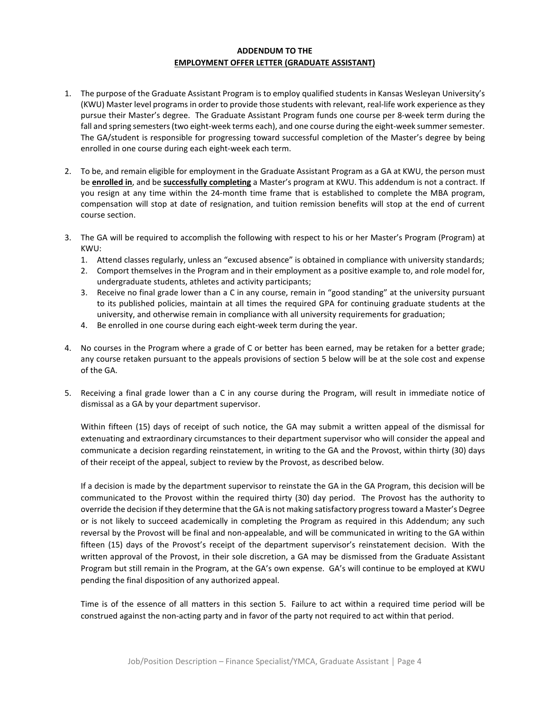#### **ADDENDUM TO THE EMPLOYMENT OFFER LETTER (GRADUATE ASSISTANT)**

- 1. The purpose of the Graduate Assistant Program is to employ qualified students in Kansas Wesleyan University's (KWU) Master level programs in order to provide those students with relevant, real-life work experience as they pursue their Master's degree. The Graduate Assistant Program funds one course per 8-week term during the fall and spring semesters (two eight-week terms each), and one course during the eight-week summer semester. The GA/student is responsible for progressing toward successful completion of the Master's degree by being enrolled in one course during each eight-week each term.
- 2. To be, and remain eligible for employment in the Graduate Assistant Program as a GA at KWU, the person must be **enrolled in**, and be **successfully completing** a Master's program at KWU. This addendum is not a contract. If you resign at any time within the 24-month time frame that is established to complete the MBA program, compensation will stop at date of resignation, and tuition remission benefits will stop at the end of current course section.
- 3. The GA will be required to accomplish the following with respect to his or her Master's Program (Program) at KWU:
	- 1. Attend classes regularly, unless an "excused absence" is obtained in compliance with university standards;
	- 2. Comport themselves in the Program and in their employment as a positive example to, and role model for, undergraduate students, athletes and activity participants;
	- 3. Receive no final grade lower than a C in any course, remain in "good standing" at the university pursuant to its published policies, maintain at all times the required GPA for continuing graduate students at the university, and otherwise remain in compliance with all university requirements for graduation;
	- 4. Be enrolled in one course during each eight-week term during the year.
- 4. No courses in the Program where a grade of C or better has been earned, may be retaken for a better grade; any course retaken pursuant to the appeals provisions of section 5 below will be at the sole cost and expense of the GA.
- 5. Receiving a final grade lower than a C in any course during the Program, will result in immediate notice of dismissal as a GA by your department supervisor.

Within fifteen (15) days of receipt of such notice, the GA may submit a written appeal of the dismissal for extenuating and extraordinary circumstances to their department supervisor who will consider the appeal and communicate a decision regarding reinstatement, in writing to the GA and the Provost, within thirty (30) days of their receipt of the appeal, subject to review by the Provost, as described below.

If a decision is made by the department supervisor to reinstate the GA in the GA Program, this decision will be communicated to the Provost within the required thirty (30) day period. The Provost has the authority to override the decision if they determine that the GA is not making satisfactory progress toward a Master's Degree or is not likely to succeed academically in completing the Program as required in this Addendum; any such reversal by the Provost will be final and non-appealable, and will be communicated in writing to the GA within fifteen (15) days of the Provost's receipt of the department supervisor's reinstatement decision. With the written approval of the Provost, in their sole discretion, a GA may be dismissed from the Graduate Assistant Program but still remain in the Program, at the GA's own expense. GA's will continue to be employed at KWU pending the final disposition of any authorized appeal.

Time is of the essence of all matters in this section 5. Failure to act within a required time period will be construed against the non-acting party and in favor of the party not required to act within that period.